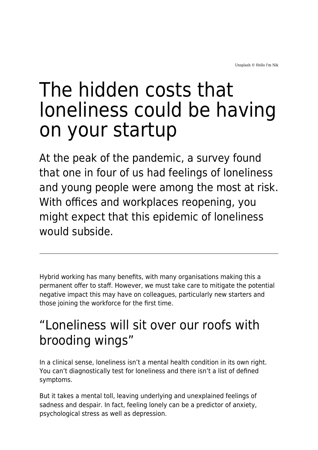Unsplash © Hello I'm Nik

# The hidden costs that loneliness could be having on your startup

At the peak of the pandemic, a survey found that one in four of us had feelings of loneliness and young people were among the most at risk. With offices and workplaces reopening, you might expect that this epidemic of loneliness would subside.

Hybrid working has many benefits, with many organisations making this a permanent offer to staff. However, we must take care to mitigate the potential negative impact this may have on colleagues, particularly new starters and those joining the workforce for the first time.

### "Loneliness will sit over our roofs with brooding wings"

In a clinical sense, loneliness isn't a mental health condition in its own right. You can't diagnostically test for loneliness and there isn't a list of defined symptoms.

But it takes a mental toll, leaving underlying and unexplained feelings of sadness and despair. In fact, feeling lonely can be a predictor of anxiety, psychological stress as well as depression.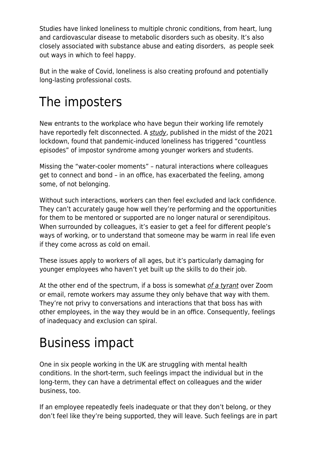Studies have linked loneliness to multiple chronic conditions, from heart, lung and cardiovascular disease to metabolic disorders such as obesity. It's also closely associated with substance abuse and eating disorders, as people seek out ways in which to feel happy.

But in the wake of Covid, loneliness is also creating profound and potentially long-lasting professional costs.

# The imposters

New entrants to the workplace who have begun their working life remotely have reportedly felt disconnected. A [study](https://www.tandfonline.com/doi/full/10.1080/10588167.2021.1996095), published in the midst of the 2021 lockdown, found that pandemic-induced loneliness has triggered "countless episodes" of impostor syndrome among younger workers and students.

Missing the "water-cooler moments" – natural interactions where colleagues get to connect and bond – in an office, has exacerbated the feeling, among some, of not belonging.

Without such interactions, workers can then feel excluded and lack confidence. They can't accurately gauge how well they're performing and the opportunities for them to be mentored or supported are no longer natural or serendipitous. When surrounded by colleagues, it's easier to get a feel for different people's ways of working, or to understand that someone may be warm in real life even if they come across as cold on email.

These issues apply to workers of all ages, but it's particularly damaging for younger employees who haven't yet built up the skills to do their job.

At the other end of the spectrum, if a boss is somewhat [of a tyrant](https://www.maddyness.com/uk/2022/02/08/how-startups-can-avoid-the-trap-of-digital-presenteeism/) over Zoom or email, remote workers may assume they only behave that way with them. They're not privy to conversations and interactions that that boss has with other employees, in the way they would be in an office. Consequently, feelings of inadequacy and exclusion can spiral.

## Business impact

One in six people working in the UK are struggling with mental health conditions. In the short-term, such feelings impact the individual but in the long-term, they can have a detrimental effect on colleagues and the wider business, too.

If an employee repeatedly feels inadequate or that they don't belong, or they don't feel like they're being supported, they will leave. Such feelings are in part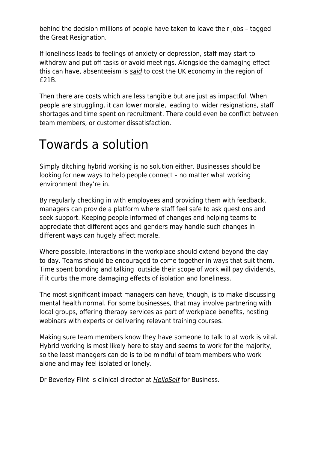behind the decision millions of people have taken to leave their jobs – tagged the Great Resignation.

If loneliness leads to feelings of anxiety or depression, staff may start to withdraw and put off tasks or avoid meetings. Alongside the damaging effect this can have, absenteeism is [said](https://www.acutec.co.uk/blog/how-much-is-absenteeism-costing-your-business/) to cost the UK economy in the region of £21B.

Then there are costs which are less tangible but are just as impactful. When people are struggling, it can lower morale, leading to wider resignations, staff shortages and time spent on recruitment. There could even be conflict between team members, or customer dissatisfaction.

#### Towards a solution

Simply ditching hybrid working is no solution either. Businesses should be looking for new ways to help people connect – no matter what working environment they're in.

By regularly checking in with employees and providing them with feedback, managers can provide a platform where staff feel safe to ask questions and seek support. Keeping people informed of changes and helping teams to appreciate that different ages and genders may handle such changes in different ways can hugely affect morale.

Where possible, interactions in the workplace should extend beyond the dayto-day. Teams should be encouraged to come together in ways that suit them. Time spent bonding and talking outside their scope of work will pay dividends, if it curbs the more damaging effects of isolation and loneliness.

The most significant impact managers can have, though, is to make discussing mental health normal. For some businesses, that may involve partnering with local groups, offering therapy services as part of workplace benefits, hosting webinars with experts or delivering relevant training courses.

Making sure team members know they have someone to talk to at work is vital. Hybrid working is most likely here to stay and seems to work for the majority, so the least managers can do is to be mindful of team members who work alone and may feel isolated or lonely.

Dr Beverley Flint is clinical director at **[HelloSelf](https://www.helloself.com/)** for Business.